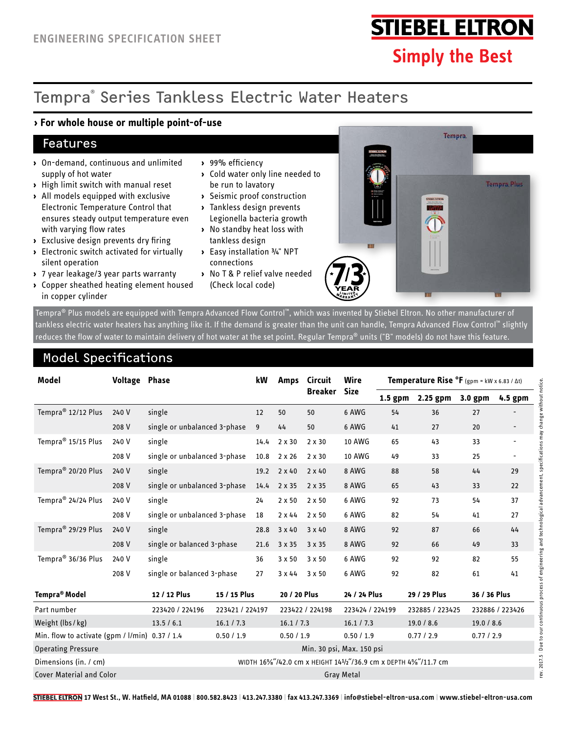# **STIEBEL ELTRON**

**Simply the Best** 

## Tempra® Series Tankless Electric Water Heaters

#### **› For whole house or multiple point-of-use**

#### Features

- **›** On-demand, continuous and unlimited supply of hot water
- **›** High limit switch with manual reset
- **›** All models equipped with exclusive Electronic Temperature Control that ensures steady output temperature even with varying flow rates
- **›** Exclusive design prevents dry firing
- **›** Electronic switch activated for virtually silent operation
- **›** 7 year leakage/3 year parts warranty
- **›** Copper sheathed heating element housed in copper cylinder
- **›** 99% efficiency
- **›** Cold water only line needed to be run to lavatory
- **›** Seismic proof construction
- **›** Tankless design prevents Legionella bacteria growth
- **›** No standby heat loss with tankless design
- **›** Easy installation ¾" NPT connections
- **›** No T & P relief valve needed (Check local code)



Tempra® Plus models are equipped with Tempra Advanced Flow Control™, which was invented by Stiebel Eltron. No other manufacturer of tankless electric water heaters has anything like it. If the demand is greater than the unit can handle, Tempra Advanced Flow Control™ slightly reduces the flow of water to maintain delivery of hot water at the set point. Regular Tempra® units ("B" models) do not have this feature.

### Model Specifications

| Model                                             | <b>Voltage Phase</b> |                              |                                                                | kW   | <b>Amps</b>     | <b>Circuit</b> | Wire            | <b>Temperature Rise <math>^{\circ}</math>F</b> (gpm = kW x 6.83 / $\Delta t$ ) |                 |                 |                          |
|---------------------------------------------------|----------------------|------------------------------|----------------------------------------------------------------|------|-----------------|----------------|-----------------|--------------------------------------------------------------------------------|-----------------|-----------------|--------------------------|
|                                                   |                      |                              |                                                                |      |                 | <b>Breaker</b> | <b>Size</b>     | $1.5$ gpm                                                                      | $2.25$ gpm      | 3.0 gpm         | 4.5 gpm                  |
| Tempra <sup>®</sup> 12/12 Plus                    | 240 V                | single                       |                                                                | 12   | 50              | 50             | 6 AWG           | 54                                                                             | 36              | 27              |                          |
|                                                   | 208 V                | single or unbalanced 3-phase |                                                                | 9    | 44              | 50             | 6 AWG           | 41                                                                             | 27              | 20              |                          |
| Tempra <sup>®</sup> 15/15 Plus                    | 240 V                | single                       |                                                                | 14.4 | $2 \times 30$   | $2 \times 30$  | <b>10 AWG</b>   | 65                                                                             | 43              | 33              | $\overline{\phantom{a}}$ |
|                                                   | 208 V                | single or unbalanced 3-phase |                                                                | 10.8 | $2 \times 26$   | $2 \times 30$  | 10 AWG          | 49                                                                             | 33              | 25              | $\overline{\phantom{a}}$ |
| Tempra <sup>®</sup> 20/20 Plus                    | 240 V                | single                       |                                                                | 19.2 | $2 \times 40$   | $2 \times 40$  | 8 AWG           | 88                                                                             | 58              | 44              | 29                       |
|                                                   | 208 V                | single or unbalanced 3-phase |                                                                | 14.4 | 2 x 35          | 2 x 35         | 8 AWG           | 65                                                                             | 43              | 33              | 22                       |
| Tempra <sup>®</sup> 24/24 Plus                    | 240 V                | single                       |                                                                | 24   | $2 \times 50$   | $2 \times 50$  | 6 AWG           | 92                                                                             | 73              | 54              | 37                       |
|                                                   | 208 V                | single or unbalanced 3-phase |                                                                | 18   | $2 \times 44$   | $2 \times 50$  | 6 AWG           | 82                                                                             | 54              | 41              | 27                       |
| Tempra <sup>®</sup> 29/29 Plus                    | 240 V                | single                       |                                                                | 28.8 | $3 \times 40$   | $3 \times 40$  | 8 AWG           | 92                                                                             | 87              | 66              | 44                       |
|                                                   | 208 V                | single or balanced 3-phase   |                                                                | 21.6 | 3 x 35          | 3 x 35         | 8 AWG           | 92                                                                             | 66              | 49              | 33                       |
| Tempra <sup>®</sup> 36/36 Plus                    | 240 V                | single                       |                                                                | 36   | 3x50            | 3 x 50         | 6 AWG           | 92                                                                             | 92              | 82              | 55                       |
|                                                   | 208 V                | single or balanced 3-phase   |                                                                | 27   | 3x44            | 3 x 50         | 6 AWG           | 92                                                                             | 82              | 61              | 41                       |
| Tempra <sup>®</sup> Model                         |                      | 12 / 12 Plus                 | 15 / 15 Plus                                                   |      | 20 / 20 Plus    |                | 24 / 24 Plus    |                                                                                | 29 / 29 Plus    | 36 / 36 Plus    |                          |
| Part number                                       |                      | 223420 / 224196              | 223421 / 224197                                                |      | 223422 / 224198 |                | 223424 / 224199 |                                                                                | 232885 / 223425 | 232886 / 223426 |                          |
| Weight (lbs/kg)                                   |                      | 13.5 / 6.1                   | 16.1 / 7.3                                                     |      | 16.1 / 7.3      |                | 16.1 / 7.3      |                                                                                | 19.0 / 8.6      | 19.0 / 8.6      |                          |
| Min. flow to activate (gpm / $I/min$ ) 0.37 / 1.4 |                      |                              | 0.50 / 1.9                                                     |      | 0.50 / 1.9      |                | 0.50 / 1.9      |                                                                                | 0.77 / 2.9      | 0.77/2.9        |                          |
| <b>Operating Pressure</b>                         |                      |                              | Min. 30 psi, Max. 150 psi                                      |      |                 |                |                 |                                                                                |                 |                 |                          |
| Dimensions (in. / cm)                             |                      |                              | WIDTH 16%"/42.0 cm x HEIGHT 141/2"/36.9 cm x DEPTH 4%"/11.7 cm |      |                 |                |                 |                                                                                |                 |                 |                          |
| <b>Cover Material and Color</b>                   |                      |                              | <b>Gray Metal</b>                                              |      |                 |                |                 |                                                                                |                 |                 |                          |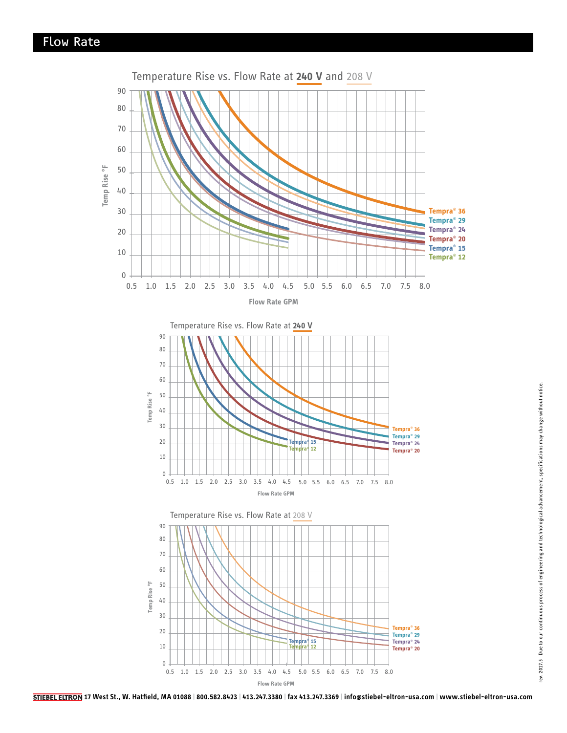

**17 West St., W. Hatfield, MA 01088 | 800.582.8423 | 413.247.3380 | fax 413.247.3369 | info@stiebel-eltron-usa.com | www.stiebel-eltron-usa.com**